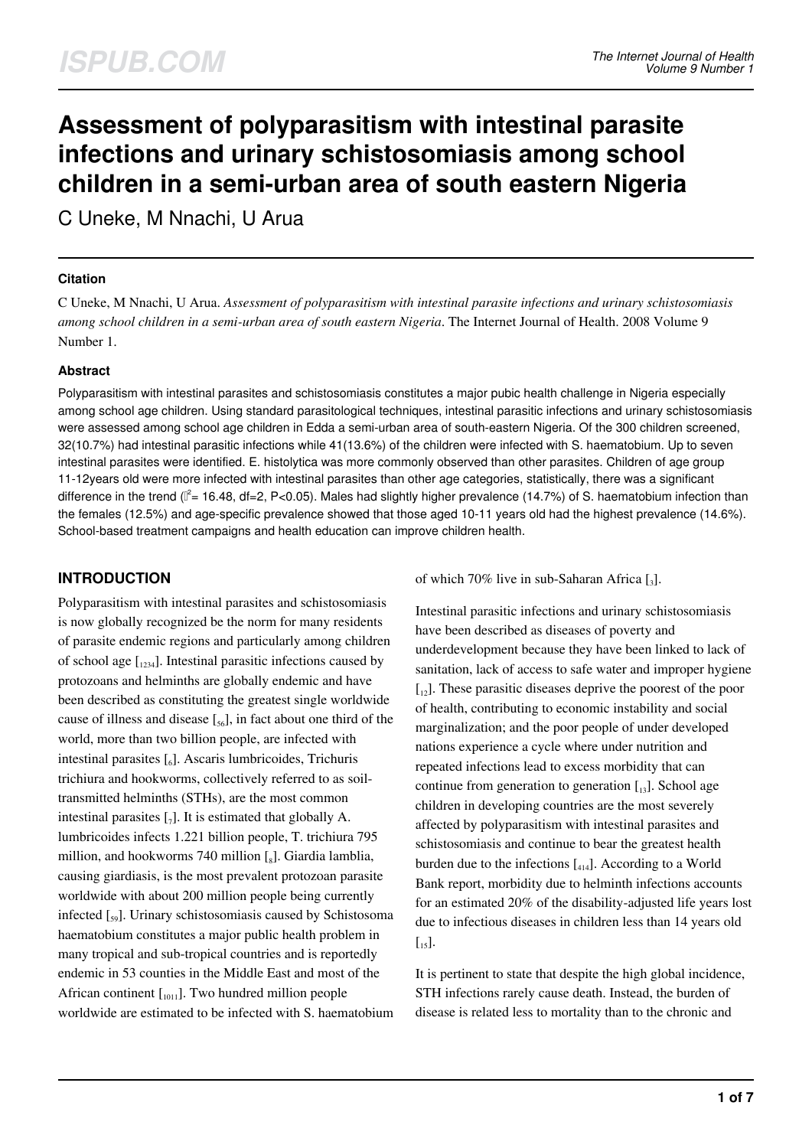# **Assessment of polyparasitism with intestinal parasite infections and urinary schistosomiasis among school children in a semi-urban area of south eastern Nigeria**

C Uneke, M Nnachi, U Arua

#### **Citation**

C Uneke, M Nnachi, U Arua. *Assessment of polyparasitism with intestinal parasite infections and urinary schistosomiasis among school children in a semi-urban area of south eastern Nigeria*. The Internet Journal of Health. 2008 Volume 9 Number 1.

#### **Abstract**

Polyparasitism with intestinal parasites and schistosomiasis constitutes a major pubic health challenge in Nigeria especially among school age children. Using standard parasitological techniques, intestinal parasitic infections and urinary schistosomiasis were assessed among school age children in Edda a semi-urban area of south-eastern Nigeria. Of the 300 children screened, 32(10.7%) had intestinal parasitic infections while 41(13.6%) of the children were infected with S. haematobium. Up to seven intestinal parasites were identified. E. histolytica was more commonly observed than other parasites. Children of age group 11-12years old were more infected with intestinal parasites than other age categories, statistically, there was a significant difference in the trend (I<sup>2</sup>= 16.48, df=2, P<0.05). Males had slightly higher prevalence (14.7%) of S. haematobium infection than the females (12.5%) and age-specific prevalence showed that those aged 10-11 years old had the highest prevalence (14.6%). School-based treatment campaigns and health education can improve children health.

# **INTRODUCTION**

Polyparasitism with intestinal parasites and schistosomiasis is now globally recognized be the norm for many residents of parasite endemic regions and particularly among children of school age  $\left[1234\right]$ . Intestinal parasitic infections caused by protozoans and helminths are globally endemic and have been described as constituting the greatest single worldwide cause of illness and disease  $[\,_{{56}}]$ , in fact about one third of the world, more than two billion people, are infected with intestinal parasites [6]. Ascaris lumbricoides, Trichuris trichiura and hookworms, collectively referred to as soiltransmitted helminths (STHs), are the most common intestinal parasites  $\left[\begin{smallmatrix}7\end{smallmatrix}\right]$ . It is estimated that globally A. lumbricoides infects 1.221 billion people, T. trichiura 795 million, and hookworms 740 million  $\left[\begin{smallmatrix}\text{g}\end{smallmatrix}\right]$ . Giardia lamblia, causing giardiasis, is the most prevalent protozoan parasite worldwide with about 200 million people being currently infected [<sup>59</sup> ]. Urinary schistosomiasis caused by Schistosoma haematobium constitutes a major public health problem in many tropical and sub-tropical countries and is reportedly endemic in 53 counties in the Middle East and most of the African continent  $\left[ \begin{array}{c} 1 \\ 0 \end{array} \right]$ . Two hundred million people worldwide are estimated to be infected with S. haematobium of which 70% live in sub-Saharan Africa [3].

Intestinal parasitic infections and urinary schistosomiasis have been described as diseases of poverty and underdevelopment because they have been linked to lack of sanitation, lack of access to safe water and improper hygiene  $\begin{bmatrix} 1_{12} \end{bmatrix}$ . These parasitic diseases deprive the poorest of the poor of health, contributing to economic instability and social marginalization; and the poor people of under developed nations experience a cycle where under nutrition and repeated infections lead to excess morbidity that can continue from generation to generation  $\begin{bmatrix} 13 \end{bmatrix}$ . School age children in developing countries are the most severely affected by polyparasitism with intestinal parasites and schistosomiasis and continue to bear the greatest health burden due to the infections  $\begin{bmatrix} 4 & 1 \end{bmatrix}$ . According to a World Bank report, morbidity due to helminth infections accounts for an estimated 20% of the disability-adjusted life years lost due to infectious diseases in children less than 14 years old  $\left[$ <sub>15</sub> $\right]$ .

It is pertinent to state that despite the high global incidence, STH infections rarely cause death. Instead, the burden of disease is related less to mortality than to the chronic and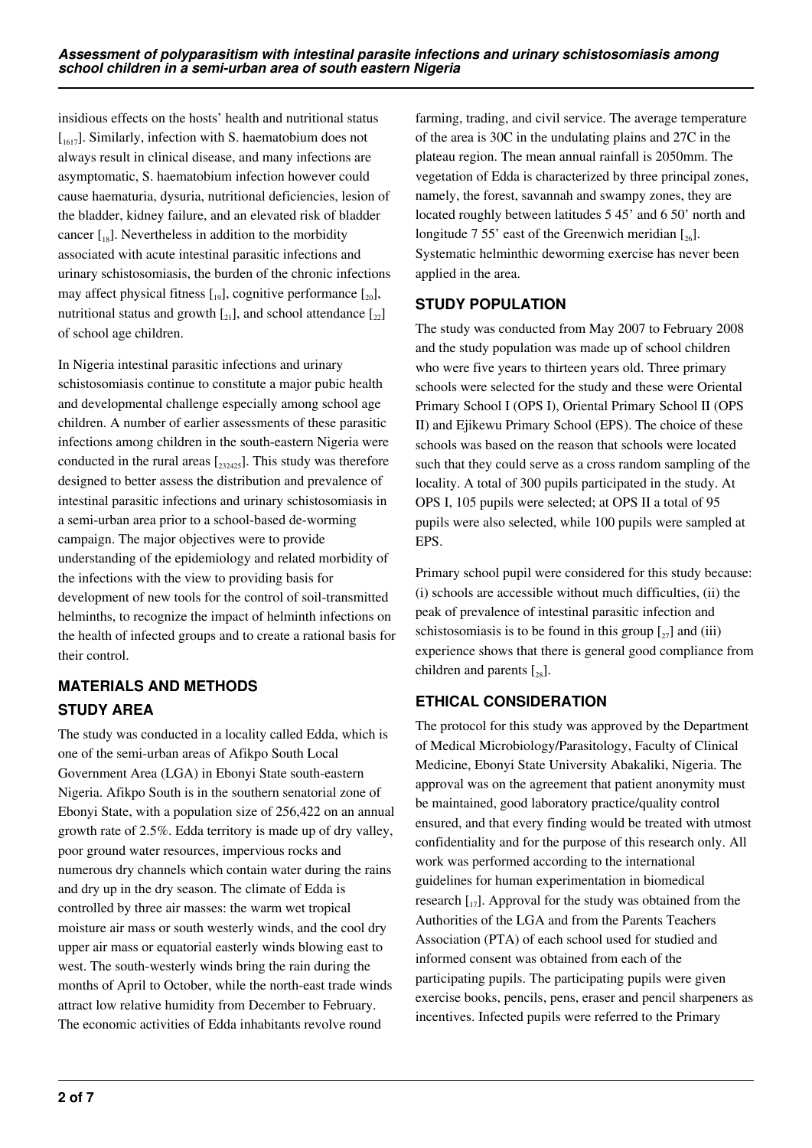insidious effects on the hosts' health and nutritional status  $\int_{1617}$ . Similarly, infection with S. haematobium does not always result in clinical disease, and many infections are asymptomatic, S. haematobium infection however could cause haematuria, dysuria, nutritional deficiencies, lesion of the bladder, kidney failure, and an elevated risk of bladder cancer  $\left[\begin{matrix}18\end{matrix}\right]$ . Nevertheless in addition to the morbidity associated with acute intestinal parasitic infections and urinary schistosomiasis, the burden of the chronic infections may affect physical fitness  $\begin{bmatrix} 1 & 0 \\ 0 & 1 \end{bmatrix}$ , cognitive performance  $\begin{bmatrix} 2 & 0 \\ 2 & 0 \end{bmatrix}$ nutritional status and growth  $\begin{bmatrix} 2 \\ 2 \end{bmatrix}$ , and school attendance  $\begin{bmatrix} 2 \\ 2 \end{bmatrix}$ of school age children.

In Nigeria intestinal parasitic infections and urinary schistosomiasis continue to constitute a major pubic health and developmental challenge especially among school age children. A number of earlier assessments of these parasitic infections among children in the south-eastern Nigeria were conducted in the rural areas  $\left[232425\right]$ . This study was therefore designed to better assess the distribution and prevalence of intestinal parasitic infections and urinary schistosomiasis in a semi-urban area prior to a school-based de-worming campaign. The major objectives were to provide understanding of the epidemiology and related morbidity of the infections with the view to providing basis for development of new tools for the control of soil-transmitted helminths, to recognize the impact of helminth infections on the health of infected groups and to create a rational basis for their control.

# **MATERIALS AND METHODS STUDY AREA**

The study was conducted in a locality called Edda, which is one of the semi-urban areas of Afikpo South Local Government Area (LGA) in Ebonyi State south-eastern Nigeria. Afikpo South is in the southern senatorial zone of Ebonyi State, with a population size of 256,422 on an annual growth rate of 2.5%. Edda territory is made up of dry valley, poor ground water resources, impervious rocks and numerous dry channels which contain water during the rains and dry up in the dry season. The climate of Edda is controlled by three air masses: the warm wet tropical moisture air mass or south westerly winds, and the cool dry upper air mass or equatorial easterly winds blowing east to west. The south-westerly winds bring the rain during the months of April to October, while the north-east trade winds attract low relative humidity from December to February. The economic activities of Edda inhabitants revolve round

farming, trading, and civil service. The average temperature of the area is 30C in the undulating plains and 27C in the plateau region. The mean annual rainfall is 2050mm. The vegetation of Edda is characterized by three principal zones, namely, the forest, savannah and swampy zones, they are located roughly between latitudes 5 45' and 6 50' north and longitude 7.55' east of the Greenwich meridian  $\lceil z_6 \rceil$ . Systematic helminthic deworming exercise has never been applied in the area.

# **STUDY POPULATION**

The study was conducted from May 2007 to February 2008 and the study population was made up of school children who were five years to thirteen years old. Three primary schools were selected for the study and these were Oriental Primary School I (OPS I), Oriental Primary School II (OPS II) and Ejikewu Primary School (EPS). The choice of these schools was based on the reason that schools were located such that they could serve as a cross random sampling of the locality. A total of 300 pupils participated in the study. At OPS I, 105 pupils were selected; at OPS II a total of 95 pupils were also selected, while 100 pupils were sampled at EPS.

Primary school pupil were considered for this study because: (i) schools are accessible without much difficulties, (ii) the peak of prevalence of intestinal parasitic infection and schistosomiasis is to be found in this group  $\left[\begin{smallmatrix} 2 \\ 27 \end{smallmatrix}\right]$  and (iii) experience shows that there is general good compliance from children and parents  $\lceil_{28}\rceil$ .

# **ETHICAL CONSIDERATION**

The protocol for this study was approved by the Department of Medical Microbiology/Parasitology, Faculty of Clinical Medicine, Ebonyi State University Abakaliki, Nigeria. The approval was on the agreement that patient anonymity must be maintained, good laboratory practice/quality control ensured, and that every finding would be treated with utmost confidentiality and for the purpose of this research only. All work was performed according to the international guidelines for human experimentation in biomedical research  $\begin{bmatrix} 1 \\ 2 \end{bmatrix}$ . Approval for the study was obtained from the Authorities of the LGA and from the Parents Teachers Association (PTA) of each school used for studied and informed consent was obtained from each of the participating pupils. The participating pupils were given exercise books, pencils, pens, eraser and pencil sharpeners as incentives. Infected pupils were referred to the Primary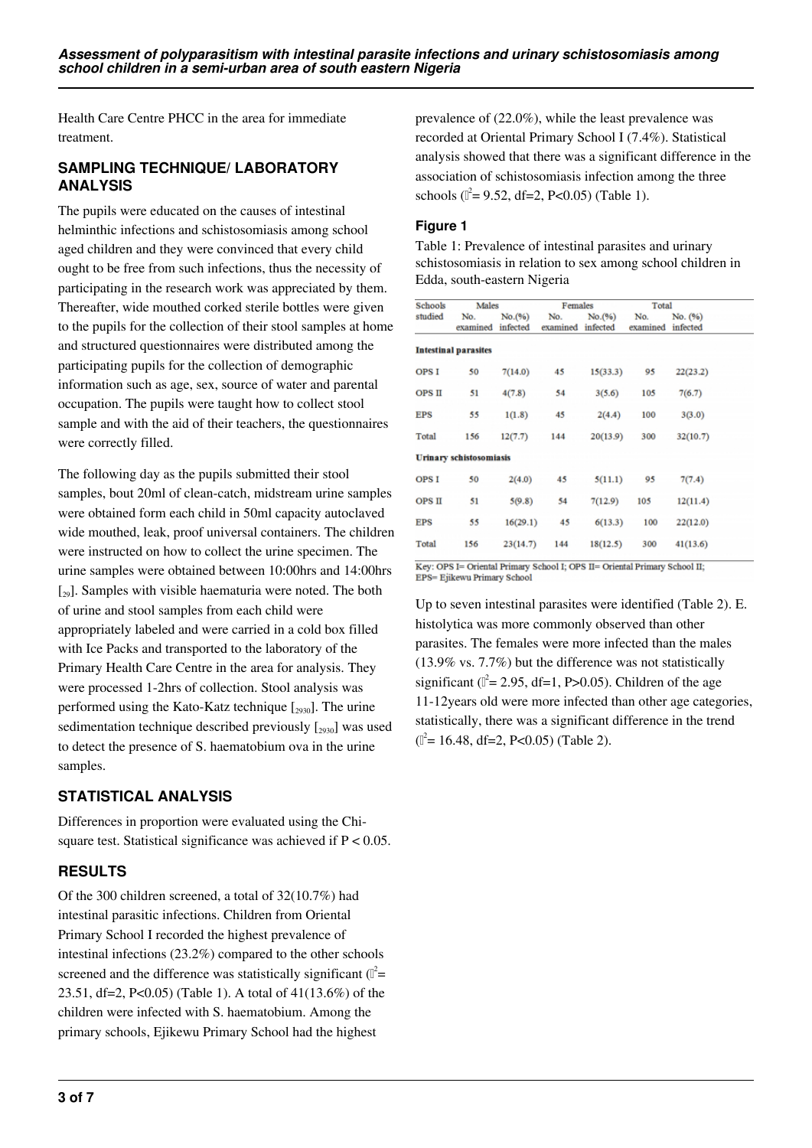Health Care Centre PHCC in the area for immediate treatment.

### **SAMPLING TECHNIQUE/ LABORATORY ANALYSIS**

The pupils were educated on the causes of intestinal helminthic infections and schistosomiasis among school aged children and they were convinced that every child ought to be free from such infections, thus the necessity of participating in the research work was appreciated by them. Thereafter, wide mouthed corked sterile bottles were given to the pupils for the collection of their stool samples at home and structured questionnaires were distributed among the participating pupils for the collection of demographic information such as age, sex, source of water and parental occupation. The pupils were taught how to collect stool sample and with the aid of their teachers, the questionnaires were correctly filled.

The following day as the pupils submitted their stool samples, bout 20ml of clean-catch, midstream urine samples were obtained form each child in 50ml capacity autoclaved wide mouthed, leak, proof universal containers. The children were instructed on how to collect the urine specimen. The urine samples were obtained between 10:00hrs and 14:00hrs  $\lceil_{29}\rceil$ . Samples with visible haematuria were noted. The both of urine and stool samples from each child were appropriately labeled and were carried in a cold box filled with Ice Packs and transported to the laboratory of the Primary Health Care Centre in the area for analysis. They were processed 1-2hrs of collection. Stool analysis was performed using the Kato-Katz technique  $[2930]$ . The urine sedimentation technique described previously  $\left[\frac{2930}{2930}\right]$  was used to detect the presence of S. haematobium ova in the urine samples.

# **STATISTICAL ANALYSIS**

Differences in proportion were evaluated using the Chisquare test. Statistical significance was achieved if  $P < 0.05$ .

# **RESULTS**

Of the 300 children screened, a total of 32(10.7%) had intestinal parasitic infections. Children from Oriental Primary School I recorded the highest prevalence of intestinal infections (23.2%) compared to the other schools screened and the difference was statistically significant  $(\mathbb{I}^2 =$ 23.51, df=2, P<0.05) (Table 1). A total of 41(13.6%) of the children were infected with S. haematobium. Among the primary schools, Ejikewu Primary School had the highest

prevalence of (22.0%), while the least prevalence was recorded at Oriental Primary School I (7.4%). Statistical analysis showed that there was a significant difference in the association of schistosomiasis infection among the three schools ( $\mathbb{I}^2$ = 9.52, df=2, P<0.05) (Table 1).

## **Figure 1**

Table 1: Prevalence of intestinal parasites and urinary schistosomiasis in relation to sex among school children in Edda, south-eastern Nigeria

|       | Schools Males Females Total                 |                      |                                                       |               |          |
|-------|---------------------------------------------|----------------------|-------------------------------------------------------|---------------|----------|
|       | studied No. No. (%) No. No. (%) No. No. (%) |                      | examined infected examined infected examined infected |               |          |
|       | <b>Intestinal parasites</b>                 |                      |                                                       |               |          |
| OPS I | 50                                          |                      | $7(14.0)$ 45 $15(33.3)$ 95                            |               | 22(23.2) |
|       | OPS II 51 4(7.8) 54 3(5.6) 105 7(6.7)       |                      |                                                       |               |          |
|       | EPS 55 1(1.8) 45 2(4.4) 100 3(3.0)          |                      |                                                       |               |          |
|       | Total 156 12(7.7) 144 20(13.9) 300          |                      |                                                       |               | 32(10.7) |
|       | <b>Urinary schistosomiasis</b>              |                      |                                                       |               |          |
| OPS I |                                             |                      | 50 $2(4.0)$ 45 $5(11.1)$ 95 $7(7.4)$                  |               |          |
| OPSII |                                             | $51 \t 5(9.8) \t 54$ |                                                       | $7(12.9)$ 105 | 12(11.4) |
|       | $EPS$ 55                                    |                      | $16(29.1)$ 45 $6(13.3)$ 100                           |               | 22(12.0) |
|       | Total 156                                   |                      | 23(14.7) 144 18(12.5) 300                             |               | 41(13.6) |
|       |                                             |                      |                                                       |               |          |

Key: OPS I= Oriental Primary School I; OPS II= Oriental Primary School II; EPS= Ejikewu Primary School

Up to seven intestinal parasites were identified (Table 2). E. histolytica was more commonly observed than other parasites. The females were more infected than the males (13.9% vs. 7.7%) but the difference was not statistically significant ( $\mathbb{I}^2$  = 2.95, df=1, P>0.05). Children of the age 11-12years old were more infected than other age categories, statistically, there was a significant difference in the trend  $(I^2 = 16.48, df = 2, P < 0.05)$  (Table 2).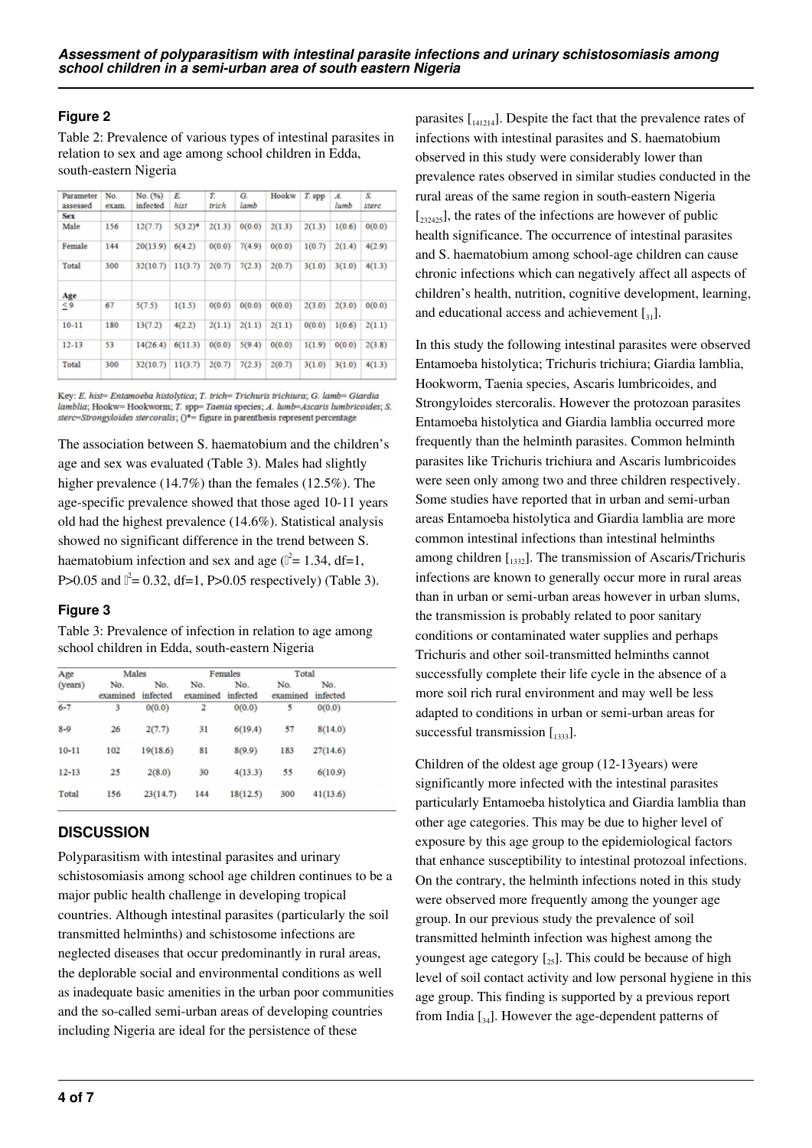#### **Figure 2**

Table 2: Prevalence of various types of intestinal parasites in relation to sex and age among school children in Edda, south-eastern Nigeria

| No.<br>exam. | No. (%)<br>infected | E.<br>hist | Т.<br>trich | G.<br>lamb | Hookw  | T. spp | A.<br>lumb | S.<br>sterc |
|--------------|---------------------|------------|-------------|------------|--------|--------|------------|-------------|
|              |                     |            |             |            |        |        |            |             |
| 156          | 12(7.7)             | $5(3.2)^*$ | 2(1.3)      | 0(0.0)     | 2(1.3) | 2(1.3) | 1(0.6)     | 0(0.0)      |
| 144          | 20(13.9)            | 6(4.2)     | 0(0.0)      | 7(4.9)     | 0(0.0) | 1(0.7) | 2(1.4)     | 4(2.9)      |
| 300          | 32(10.7)            | 11(3.7)    | 2(0.7)      | 7(2.3)     | 2(0.7) | 3(1.0) | 3(1.0)     | 4(1.3)      |
|              |                     |            |             |            |        |        |            |             |
| 67           | 5(7.5)              | 1(1.5)     | 0(0.0)      | 0(0.0)     | 0(0.0) | 2(3.0) | 2(3.0)     | 0(0.0)      |
| 180          | 13(7.2)             | 4(2.2)     | 2(1.1)      | 2(1.1)     | 2(1.1) | 0(0.0) | 1(0.6)     | 2(1.1)      |
| 53           | 14(26.4)            | 6(11.3)    | 0(0.0)      | 5(9.4)     | 0(0.0) | 1(1.9) | 0(0.0)     | 2(3.8)      |
| 300          | 32(10.7)            | 11(3.7)    | 2(0.7)      | 7(2.3)     | 2(0.7) | 3(1.0) | 3(1.0)     | 4(1.3)      |
|              |                     |            |             |            |        |        |            |             |

Key: E. hist= Entamoeba histolytica; T. trich= Trichuris trichiura; G. lamb= Giardia  $lambda; Hookw = Hookworm; T. spp = Taenia species; A. kumb = Ascaris lumbricoides; S. *sterc = Strongyloides stereoralis*;  $0^* =$  figure in parentheses represent percentage$ 

The association between S. haematobium and the children's age and sex was evaluated (Table 3). Males had slightly higher prevalence (14.7%) than the females (12.5%). The age-specific prevalence showed that those aged 10-11 years old had the highest prevalence (14.6%). Statistical analysis showed no significant difference in the trend between S. haematobium infection and sex and age  $(l^2 = 1.34, df = 1,$ P>0.05 and  $\mathbb{I}^2 = 0.32$ , df=1, P>0.05 respectively) (Table 3).

#### **Figure 3**

Table 3: Prevalence of infection in relation to age among school children in Edda, south-eastern Nigeria

| Age       | Males           |                 |                 | Females         | Total           |                 |  |  |
|-----------|-----------------|-----------------|-----------------|-----------------|-----------------|-----------------|--|--|
| (years)   | No.<br>examined | No.<br>infected | No.<br>examined | No.<br>infected | No.<br>examined | No.<br>infected |  |  |
| $6 - 7$   | 3               | 0(0.0)          | 2               | 0(0.0)          | 5               | 0(0.0)          |  |  |
| $8 - 9$   | 26              | 2(7.7)          | 31              | 6(19.4)         | 57              | 8(14.0)         |  |  |
| $10 - 11$ | 102             | 19(18.6)        | 81              | 8(9.9)          | 183             | 27(14.6)        |  |  |
| $12 - 13$ | 25              | 2(8.0)          | 30              | 4(13.3)         | 55              | 6(10.9)         |  |  |
| Total     | 156             | 23(14.7)        | 144             | 18(12.5)        | 300             | 41(13.6)        |  |  |

#### **DISCUSSION**

Polyparasitism with intestinal parasites and urinary schistosomiasis among school age children continues to be a major public health challenge in developing tropical countries. Although intestinal parasites (particularly the soil transmitted helminths) and schistosome infections are neglected diseases that occur predominantly in rural areas, the deplorable social and environmental conditions as well as inadequate basic amenities in the urban poor communities and the so-called semi-urban areas of developing countries including Nigeria are ideal for the persistence of these

parasites  $\begin{bmatrix} 1_{41214} \end{bmatrix}$ . Despite the fact that the prevalence rates of infections with intestinal parasites and S. haematobium observed in this study were considerably lower than prevalence rates observed in similar studies conducted in the rural areas of the same region in south-eastern Nigeria  $[232425]$ , the rates of the infections are however of public health significance. The occurrence of intestinal parasites and S. haematobium among school-age children can cause chronic infections which can negatively affect all aspects of children's health, nutrition, cognitive development, learning, and educational access and achievement  $\lceil_{31}\rceil$ .

In this study the following intestinal parasites were observed Entamoeba histolytica; Trichuris trichiura; Giardia lamblia, Hookworm, Taenia species, Ascaris lumbricoides, and Strongyloides stercoralis. However the protozoan parasites Entamoeba histolytica and Giardia lamblia occurred more frequently than the helminth parasites. Common helminth parasites like Trichuris trichiura and Ascaris lumbricoides were seen only among two and three children respectively. Some studies have reported that in urban and semi-urban areas Entamoeba histolytica and Giardia lamblia are more common intestinal infections than intestinal helminths among children  $\begin{bmatrix} 1332 \end{bmatrix}$ . The transmission of Ascaris/Trichuris infections are known to generally occur more in rural areas than in urban or semi-urban areas however in urban slums, the transmission is probably related to poor sanitary conditions or contaminated water supplies and perhaps Trichuris and other soil-transmitted helminths cannot successfully complete their life cycle in the absence of a more soil rich rural environment and may well be less adapted to conditions in urban or semi-urban areas for successful transmission  $\left[1333\right]$ .

Children of the oldest age group (12-13years) were significantly more infected with the intestinal parasites particularly Entamoeba histolytica and Giardia lamblia than other age categories. This may be due to higher level of exposure by this age group to the epidemiological factors that enhance susceptibility to intestinal protozoal infections. On the contrary, the helminth infections noted in this study were observed more frequently among the younger age group. In our previous study the prevalence of soil transmitted helminth infection was highest among the youngest age category  $\left[\right]_{25}$ . This could be because of high level of soil contact activity and low personal hygiene in this age group. This finding is supported by a previous report from India  $\left[\begin{smallmatrix} 3,4 \end{smallmatrix}\right]$ . However the age-dependent patterns of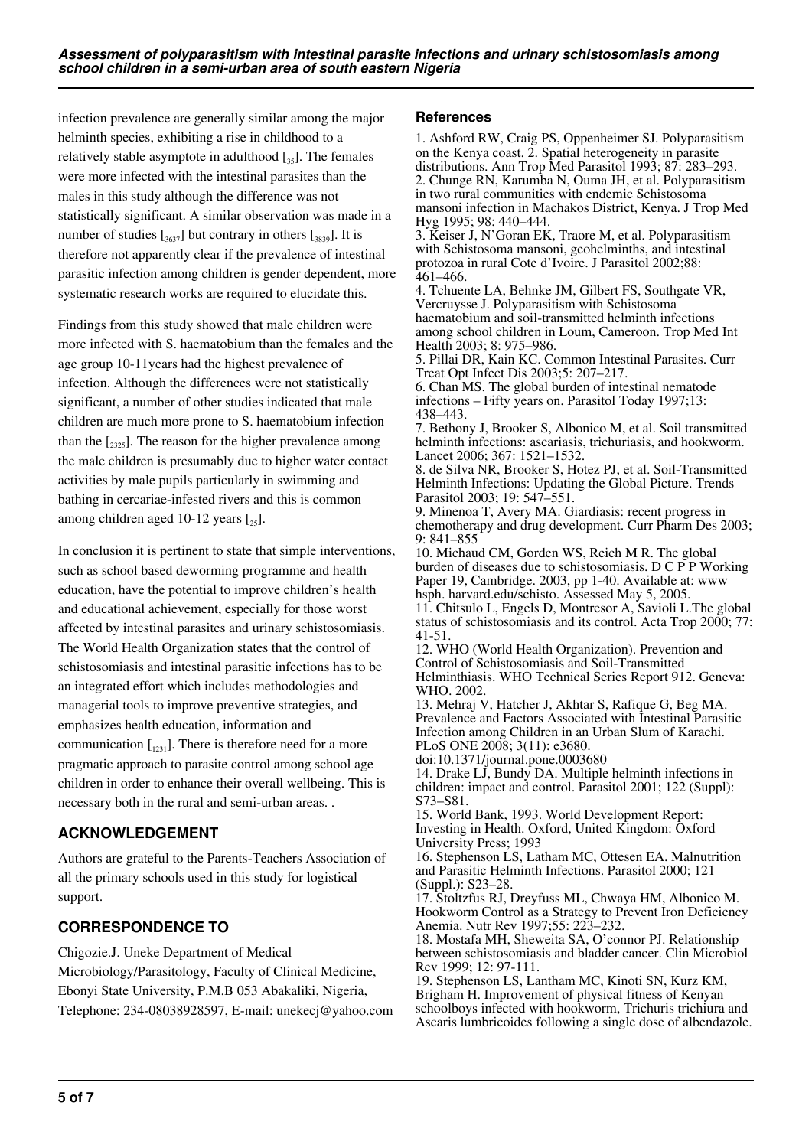infection prevalence are generally similar among the major helminth species, exhibiting a rise in childhood to a relatively stable asymptote in adulthood  $\left[\right]_{35}$ . The females were more infected with the intestinal parasites than the males in this study although the difference was not statistically significant. A similar observation was made in a number of studies  $\left[\frac{3637}{3637}\right]$  but contrary in others  $\left[\frac{3839}{3639}\right]$ . It is therefore not apparently clear if the prevalence of intestinal parasitic infection among children is gender dependent, more systematic research works are required to elucidate this.

Findings from this study showed that male children were more infected with S. haematobium than the females and the age group 10-11years had the highest prevalence of infection. Although the differences were not statistically significant, a number of other studies indicated that male children are much more prone to S. haematobium infection than the  $\left[2325\right]$ . The reason for the higher prevalence among the male children is presumably due to higher water contact activities by male pupils particularly in swimming and bathing in cercariae-infested rivers and this is common among children aged 10-12 years  $\lceil_{25}\rceil$ .

In conclusion it is pertinent to state that simple interventions, such as school based deworming programme and health education, have the potential to improve children's health and educational achievement, especially for those worst affected by intestinal parasites and urinary schistosomiasis. The World Health Organization states that the control of schistosomiasis and intestinal parasitic infections has to be an integrated effort which includes methodologies and managerial tools to improve preventive strategies, and emphasizes health education, information and communication  $\begin{bmatrix} 1_{231} \end{bmatrix}$ . There is therefore need for a more pragmatic approach to parasite control among school age children in order to enhance their overall wellbeing. This is necessary both in the rural and semi-urban areas. .

# **ACKNOWLEDGEMENT**

Authors are grateful to the Parents-Teachers Association of all the primary schools used in this study for logistical support.

# **CORRESPONDENCE TO**

Chigozie.J. Uneke Department of Medical

Microbiology/Parasitology, Faculty of Clinical Medicine, Ebonyi State University, P.M.B 053 Abakaliki, Nigeria, Telephone: 234-08038928597, E-mail: unekecj@yahoo.com

#### **References**

1. Ashford RW, Craig PS, Oppenheimer SJ. Polyparasitism on the Kenya coast. 2. Spatial heterogeneity in parasite distributions. Ann Trop Med Parasitol 1993; 87: 283–293. 2. Chunge RN, Karumba N, Ouma JH, et al. Polyparasitism in two rural communities with endemic Schistosoma mansoni infection in Machakos District, Kenya. J Trop Med Hyg 1995; 98: 440–444.

3. Keiser J, N'Goran EK, Traore M, et al. Polyparasitism with Schistosoma mansoni, geohelminths, and intestinal protozoa in rural Cote d'Ivoire. J Parasitol 2002;88: 461–466.

4. Tchuente LA, Behnke JM, Gilbert FS, Southgate VR, Vercruysse J. Polyparasitism with Schistosoma haematobium and soil-transmitted helminth infections among school children in Loum, Cameroon. Trop Med Int Health 2003; 8: 975–986.

5. Pillai DR, Kain KC. Common Intestinal Parasites. Curr Treat Opt Infect Dis 2003;5: 207–217.

6. Chan MS. The global burden of intestinal nematode infections – Fifty years on. Parasitol Today 1997;13: 438–443.

7. Bethony J, Brooker S, Albonico M, et al. Soil transmitted helminth infections: ascariasis, trichuriasis, and hookworm. Lancet 2006; 367: 1521–1532.

8. de Silva NR, Brooker S, Hotez PJ, et al. Soil-Transmitted Helminth Infections: Updating the Global Picture. Trends Parasitol 2003; 19: 547–551.

9. Minenoa T, Avery MA. Giardiasis: recent progress in chemotherapy and drug development. Curr Pharm Des 2003; 9: 841–855

10. Michaud CM, Gorden WS, Reich M R. The global burden of diseases due to schistosomiasis. D C P P Working Paper 19, Cambridge. 2003, pp 1-40. Available at: www hsph. harvard.edu/schisto. Assessed May 5, 2005.

11. Chitsulo L, Engels D, Montresor A, Savioli L.The global status of schistosomiasis and its control. Acta Trop 2000; 77: 41-51.

12. WHO (World Health Organization). Prevention and Control of Schistosomiasis and Soil-Transmitted Helminthiasis. WHO Technical Series Report 912. Geneva: WHO. 2002.

13. Mehraj V, Hatcher J, Akhtar S, Rafique G, Beg MA. Prevalence and Factors Associated with Intestinal Parasitic Infection among Children in an Urban Slum of Karachi. PLoS ONE 2008; 3(11): e3680.

doi:10.1371/journal.pone.0003680

14. Drake LJ, Bundy DA. Multiple helminth infections in children: impact and control. Parasitol 2001; 122 (Suppl): S73–S81.

15. World Bank, 1993. World Development Report: Investing in Health. Oxford, United Kingdom: Oxford University Press; 1993

16. Stephenson LS, Latham MC, Ottesen EA. Malnutrition and Parasitic Helminth Infections. Parasitol 2000; 121 (Suppl.): S23–28.

17. Stoltzfus RJ, Dreyfuss ML, Chwaya HM, Albonico M. Hookworm Control as a Strategy to Prevent Iron Deficiency Anemia. Nutr Rev 1997;55: 223–232.

18. Mostafa MH, Sheweita SA, O'connor PJ. Relationship between schistosomiasis and bladder cancer. Clin Microbiol Rev 1999; 12: 97-111.

19. Stephenson LS, Lantham MC, Kinoti SN, Kurz KM, Brigham H. Improvement of physical fitness of Kenyan schoolboys infected with hookworm, Trichuris trichiura and Ascaris lumbricoides following a single dose of albendazole.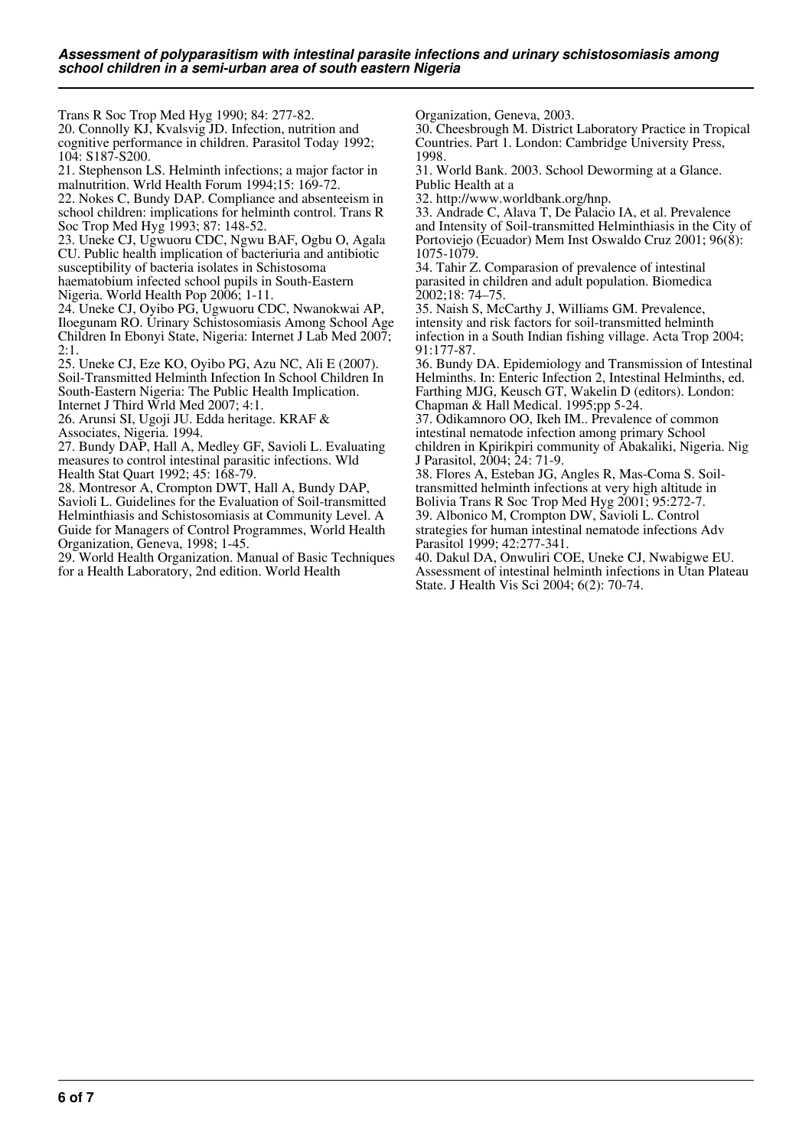Trans R Soc Trop Med Hyg 1990; 84: 277-82.

20. Connolly KJ, Kvalsvig JD. Infection, nutrition and cognitive performance in children. Parasitol Today 1992; 104: S187-S200.

21. Stephenson LS. Helminth infections; a major factor in malnutrition. Wrld Health Forum 1994;15: 169-72.

22. Nokes C, Bundy DAP. Compliance and absenteeism in school children: implications for helminth control. Trans R Soc Trop Med Hyg 1993; 87: 148-52.

23. Uneke CJ, Ugwuoru CDC, Ngwu BAF, Ogbu O, Agala CU. Public health implication of bacteriuria and antibiotic susceptibility of bacteria isolates in Schistosoma haematobium infected school pupils in South-Eastern Nigeria. World Health Pop 2006; 1-11.

24. Uneke CJ, Oyibo PG, Ugwuoru CDC, Nwanokwai AP, Iloegunam RO. Urinary Schistosomiasis Among School Age Children In Ebonyi State, Nigeria: Internet J Lab Med 2007; 2:1.

25. Uneke CJ, Eze KO, Oyibo PG, Azu NC, Ali E (2007). Soil-Transmitted Helminth Infection In School Children In South-Eastern Nigeria: The Public Health Implication. Internet J Third Wrld Med 2007; 4:1.

26. Arunsi SI, Ugoji JU. Edda heritage. KRAF & Associates, Nigeria. 1994.

27. Bundy DAP, Hall A, Medley GF, Savioli L. Evaluating measures to control intestinal parasitic infections. Wld Health Stat Quart 1992; 45: 168-79.

28. Montresor A, Crompton DWT, Hall A, Bundy DAP, Savioli L. Guidelines for the Evaluation of Soil-transmitted

Helminthiasis and Schistosomiasis at Community Level. A Guide for Managers of Control Programmes, World Health Organization, Geneva, 1998; 1-45.

29. World Health Organization. Manual of Basic Techniques for a Health Laboratory, 2nd edition. World Health

Organization, Geneva, 2003.

30. Cheesbrough M. District Laboratory Practice in Tropical Countries. Part 1. London: Cambridge University Press, 1998.

31. World Bank. 2003. School Deworming at a Glance. Public Health at a

32. http://www.worldbank.org/hnp.

33. Andrade C, Alava T, De Palacio IA, et al. Prevalence and Intensity of Soil-transmitted Helminthiasis in the City of Portoviejo (Ecuador) Mem Inst Oswaldo Cruz 2001; 96(8): 1075-1079.

34. Tahir Z. Comparasion of prevalence of intestinal parasited in children and adult population. Biomedica  $2002:18:74-75.$ 

35. Naish S, McCarthy J, Williams GM. Prevalence, intensity and risk factors for soil-transmitted helminth infection in a South Indian fishing village. Acta Trop 2004; 91:177-87.

36. Bundy DA. Epidemiology and Transmission of Intestinal Helminths. In: Enteric Infection 2, Intestinal Helminths, ed. Farthing MJG, Keusch GT, Wakelin D (editors). London: Chapman & Hall Medical. 1995;pp 5-24.

37. Odikamnoro OO, Ikeh IM.. Prevalence of common intestinal nematode infection among primary School children in Kpirikpiri community of Abakaliki, Nigeria. Nig J Parasitol, 2004; 24: 71-9.

38. Flores A, Esteban JG, Angles R, Mas-Coma S. Soiltransmitted helminth infections at very high altitude in Bolivia Trans R Soc Trop Med Hyg 2001; 95:272-7. 39. Albonico M, Crompton DW, Savioli L. Control strategies for human intestinal nematode infections Adv Parasitol 1999; 42:277-341.

40. Dakul DA, Onwuliri COE, Uneke CJ, Nwabigwe EU. Assessment of intestinal helminth infections in Utan Plateau State. J Health Vis Sci 2004; 6(2): 70-74.